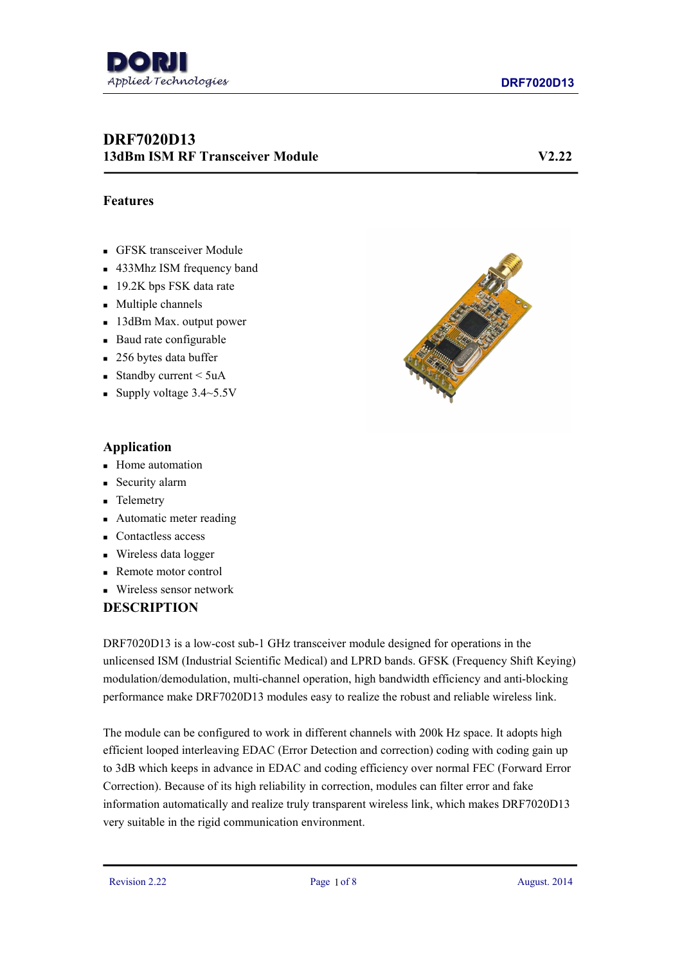

# **DRF7020D13 13dBm ISM RF Transceiver Module V2.22**

### **Features**

- GFSK transceiver Module
- 433Mhz ISM frequency band
- 19.2K bps FSK data rate
- **Multiple channels**
- 13dBm Max. output power
- Baud rate configurable
- 256 bytes data buffer
- Standby current  $\leq 5$ uA
- Supply voltage  $3.4 \sim 5.5$ V



### **Application**

- **Home** automation
- **Security alarm**
- **Telemetry**
- Automatic meter reading
- Contactless access
- Wireless data logger
- Remote motor control
- Wireless sensor network

## **DESCRIPTION**

DRF7020D13 is a low-cost sub-1 GHz transceiver module designed for operations in the unlicensed ISM (Industrial Scientific Medical) and LPRD bands. GFSK (Frequency Shift Keying) modulation/demodulation, multi-channel operation, high bandwidth efficiency and anti-blocking performance make DRF7020D13 modules easy to realize the robust and reliable wireless link.

The module can be configured to work in different channels with 200k Hz space. It adopts high efficient looped interleaving EDAC (Error Detection and correction) coding with coding gain up to 3dB which keeps in advance in EDAC and coding efficiency over normal FEC (Forward Error Correction). Because of its high reliability in correction, modules can filter error and fake information automatically and realize truly transparent wireless link, which makes DRF7020D13 very suitable in the rigid communication environment.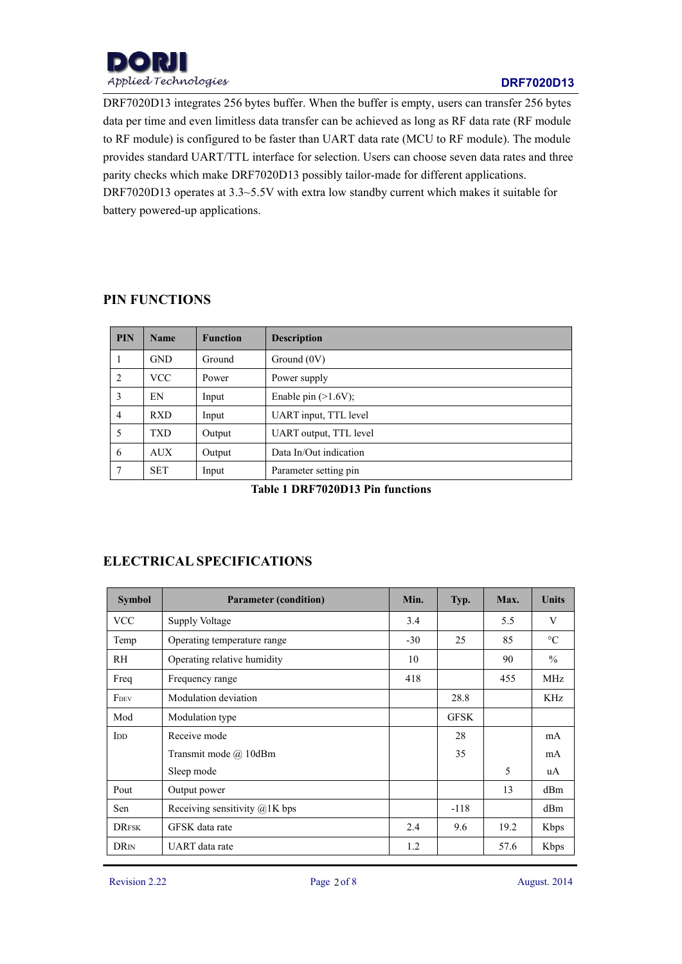

DRF7020D13 integrates 256 bytes buffer. When the buffer is empty, users can transfer 256 bytes data per time and even limitless data transfer can be achieved as long as RF data rate (RF module to RF module) is configured to be faster than UART data rate (MCU to RF module). The module provides standard UART/TTL interface for selection. Users can choose seven data rates and three parity checks which make DRF7020D13 possibly tailor-made for different applications. DRF7020D13 operates at 3.3~5.5V with extra low standby current which makes it suitable for battery powered-up applications.

## **PIN FUNCTIONS**

| <b>PIN</b>     | <b>Name</b> | <b>Function</b> | <b>Description</b>     |
|----------------|-------------|-----------------|------------------------|
|                | <b>GND</b>  | Ground          | Ground $(0V)$          |
| 2              | <b>VCC</b>  | Power           | Power supply           |
| 3              | EN          | Input           | Enable pin $(>1.6V)$ ; |
| $\overline{4}$ | <b>RXD</b>  | Input           | UART input, TTL level  |
| 5              | <b>TXD</b>  | Output          | UART output, TTL level |
| 6              | <b>AUX</b>  | Output          | Data In/Out indication |
| 7              | <b>SET</b>  | Input           | Parameter setting pin  |

**Table 1 DRF7020D13 Pin functions**

# **ELECTRICAL SPECIFICATIONS**

| <b>Symbol</b>             | <b>Parameter (condition)</b>    | Min.  | Typ.        | Max. | <b>Units</b>    |
|---------------------------|---------------------------------|-------|-------------|------|-----------------|
| <b>VCC</b>                | Supply Voltage                  | 3.4   |             | 5.5  | V               |
| Temp                      | Operating temperature range     | $-30$ | 25          | 85   | $\rm ^{\circ}C$ |
| RH                        | Operating relative humidity     | 10    |             | 90   | $\frac{0}{0}$   |
| Freq                      | Frequency range                 | 418   |             | 455  | <b>MHz</b>      |
| FDEV                      | Modulation deviation            |       | 28.8        |      | KHz             |
| Mod                       | Modulation type                 |       | <b>GFSK</b> |      |                 |
| $\overline{\mathrm{IDD}}$ | Receive mode                    |       | 28          |      | mA              |
|                           | Transmit mode @ 10dBm           |       | 35          |      | mA              |
|                           | Sleep mode                      |       |             | 5    | uA              |
| Pout                      | Output power                    |       |             | 13   | dBm             |
| Sen                       | Receiving sensitivity $@1K$ bps |       | $-118$      |      | dBm             |
| <b>DRFSK</b>              | GFSK data rate                  | 2.4   | 9.6         | 19.2 | Kbps            |
| <b>DR</b> IN              | UART data rate                  | 1.2   |             | 57.6 | Kbps            |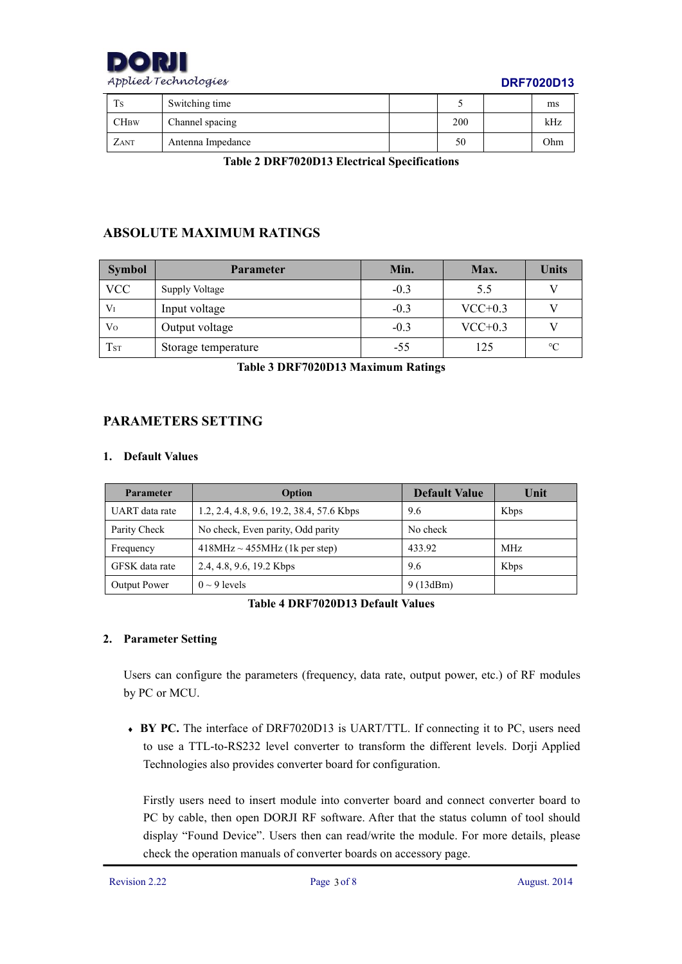

### **DRF7020D13**

| Ts          | Switching time    | ~   | ms  |
|-------------|-------------------|-----|-----|
| $\rm{CHBW}$ | Channel spacing   | 200 | kHz |
| ZANT        | Antenna Impedance | 50  | Ohm |

**Table 2 DRF7020D13 Electrical Specifications**

# **ABSOLUTE MAXIMUM RATINGS**

| <b>Symbol</b>   | <b>Parameter</b>    | Min.   | Max.      | <b>Units</b>    |
|-----------------|---------------------|--------|-----------|-----------------|
| <b>VCC</b>      | Supply Voltage      | $-0.3$ | 5.5       |                 |
| $V_I$           | Input voltage       | $-0.3$ | $VCC+0.3$ |                 |
| Vo              | Output voltage      | $-0.3$ | $VCC+0.3$ |                 |
| T <sub>ST</sub> | Storage temperature | $-55$  | 125       | $\rm ^{\circ}C$ |

**Table 3 DRF7020D13 Maximum Ratings**

## **PARAMETERS SETTING**

#### **1. Default Values**

| <b>Parameter</b> | Option                                    | <b>Default Value</b> | Unit |
|------------------|-------------------------------------------|----------------------|------|
| UART data rate   | 1.2, 2.4, 4.8, 9.6, 19.2, 38.4, 57.6 Kbps | 9.6                  | Kbps |
| Parity Check     | No check, Even parity, Odd parity         | No check             |      |
| Frequency        | $418MHz \sim 455MHz$ (1k per step)        | 433.92               | MHz  |
| GFSK data rate   | 2.4, 4.8, 9.6, 19.2 Kbps                  | 9.6                  | Kbps |
| Output Power     | $0 \sim 9$ levels                         | 9(13dBm)             |      |

**Table 4 DRF7020D13 Default Values**

### **2. Parameter Setting**

Users can configure the parameters (frequency, data rate, output power, etc.) of RF modules by PC or MCU.

 **BY PC.** The interface of DRF7020D13 is UART/TTL. If connecting it to PC, users need to use a TTL-to-RS232 level converter to transform the different levels. Dorji Applied Technologies also provides converter board for configuration.

Firstly users need to insert module into converter board and connect converter board to PC by cable, then open DORJI RF software. After that the status column of tool should display "Found Device". Users then can read/write the module. For more details, please check the operation manuals of converter boards on accessory page.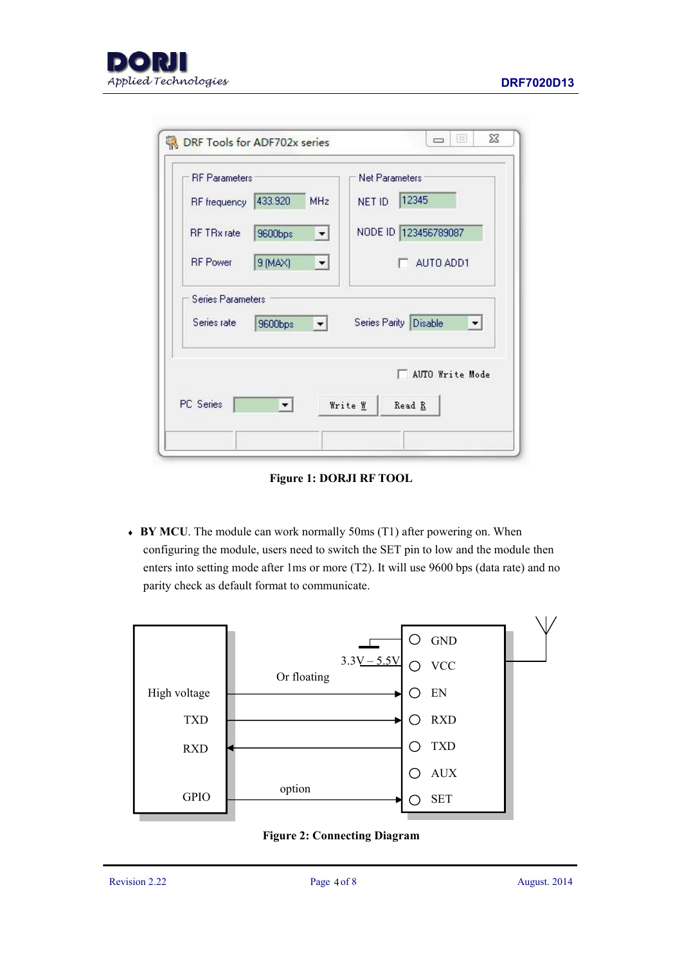

| <b>RF</b> Parameters |                                | Net Parameters                                |
|----------------------|--------------------------------|-----------------------------------------------|
| RF frequency         | 433.920<br><b>MHz</b>          | 12345<br>NET ID                               |
| <b>RF TRx</b> rate   | 9600bps<br>회                   | NODE ID 123456789087                          |
| <b>RF</b> Power      | 9 (MAX)                        | AUTO ADD1                                     |
| Series rate          | 9600bps<br>$\vert \cdot \vert$ | Series Parity Disable<br>$\blacktriangledown$ |
|                      |                                | AUTO Write Mode                               |
|                      |                                | Write W<br>Read R                             |

**Figure 1: DORJI RF TOOL**

 **BY MCU**. The module can work normally 50ms (T1) after powering on. When configuring the module, users need to switch the SET pin to low and the module then enters into setting mode after 1ms or more (T2). It will use 9600 bps (data rate) and no parity check as default format to communicate.



**Figure 2: Connecting Diagram**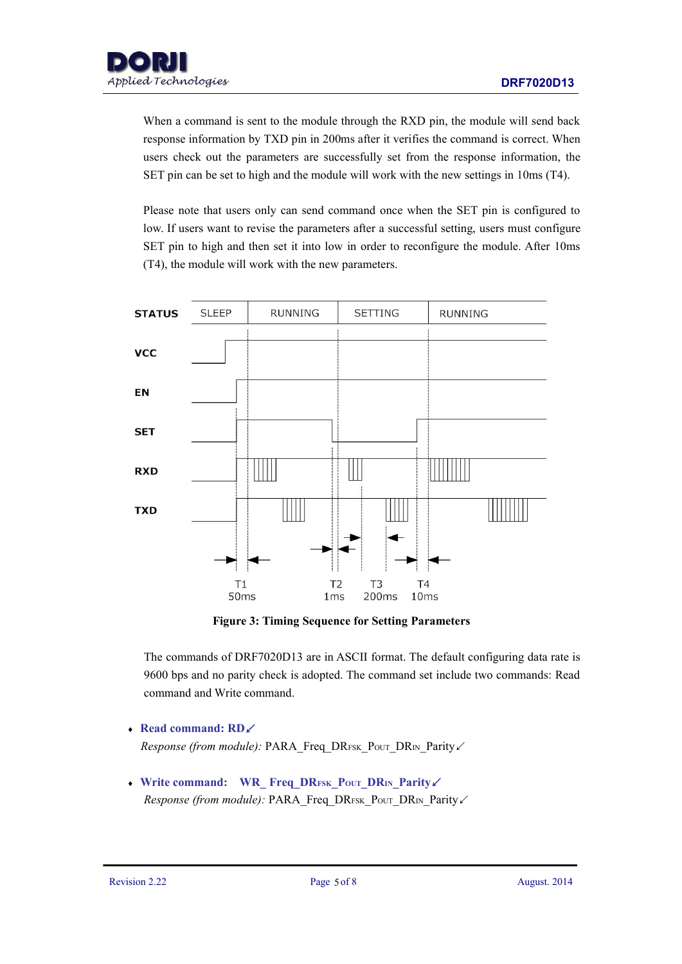When a command is sent to the module through the RXD pin, the module will send back response information by TXD pin in 200ms after it verifies the command is correct. When users check out the parameters are successfully set from the response information, the

SET pin can be set to high and the module will work with the new settings in 10ms (T4).<br>Please note that users only can send command once when the SET pin is configured to low. If users want to revise the parameters after a successful setting, users must configure SET pin to high and then set it into low in order to reconfigure the module. After 10ms (T4), the module will work with the new parameters.



**Figure 3: Timing Sequence for Setting Parameters**

The commands of DRF7020D13 are in ASCII format. The default configuring data rate is 9600 bps and no parity check is adopted. The command set include two commands: Read command and Write command.

- **Read command: RD**↙ *Response* (from *module*): PARA\_Freq\_DRFSK\_PouT\_DRIN\_Parity∠
- **Write command: WR\_ Freq\_DRFSK\_POUT\_DRIN\_Parity**↙ *Response (from module):* PARA\_Freq\_DRFSK\_Pout\_DRIN\_Parity∠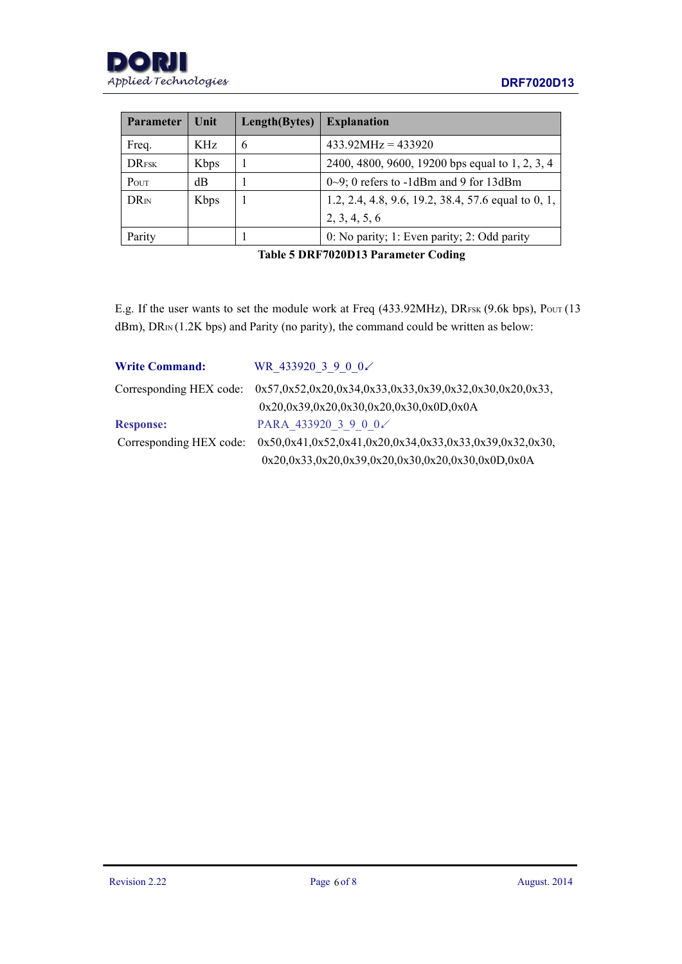

| <b>Parameter</b>        | Unit        | Length(Bytes) | <b>Explanation</b>                                  |  |
|-------------------------|-------------|---------------|-----------------------------------------------------|--|
| Freq.                   | KHz         | 6             | $433.92 MHz = 433920$                               |  |
| <b>DRFSK</b>            | <b>Kbps</b> |               | 2400, 4800, 9600, 19200 bps equal to 1, 2, 3, 4     |  |
| POUT                    | dB          |               | $0\sim9$ ; 0 refers to -1dBm and 9 for 13dBm        |  |
| <b>DR</b> <sub>IN</sub> | Kbps        |               | 1.2, 2.4, 4.8, 9.6, 19.2, 38.4, 57.6 equal to 0, 1, |  |
|                         |             |               | 2, 3, 4, 5, 6                                       |  |
| Parity                  |             |               | 0: No parity; 1: Even parity; 2: Odd parity         |  |

**Table 5 DRF7020D13 Parameter Coding**

E.g. If the user wants to set the module work at Freq (433.92MHz), DRFSK (9.6k bps), Pout (13  $dBm$ ),  $DR_{IN} (1.2K bps)$  and Parity (no parity), the command could be written as below:

| <b>Write Command:</b> | WR 433920 3 9 0 0∠                                                                |
|-----------------------|-----------------------------------------------------------------------------------|
|                       | Corresponding HEX code: 0x57,0x52,0x20,0x34,0x33,0x33,0x39,0x32,0x30,0x20,0x33,   |
|                       | $0x20,0x39,0x20,0x30,0x20,0x30,0x0D,0x0A$                                         |
| <b>Response:</b>      | PARA 433920 3 9 0 0 $\angle$                                                      |
|                       | Corresponding HEX code: $0x50,0x41,0x52,0x41,0x20,0x34,0x33,0x33,0x39,0x32,0x30,$ |
|                       | $0x20,0x33,0x20,0x39,0x20,0x30,0x20,0x30,0x0D,0x0A$                               |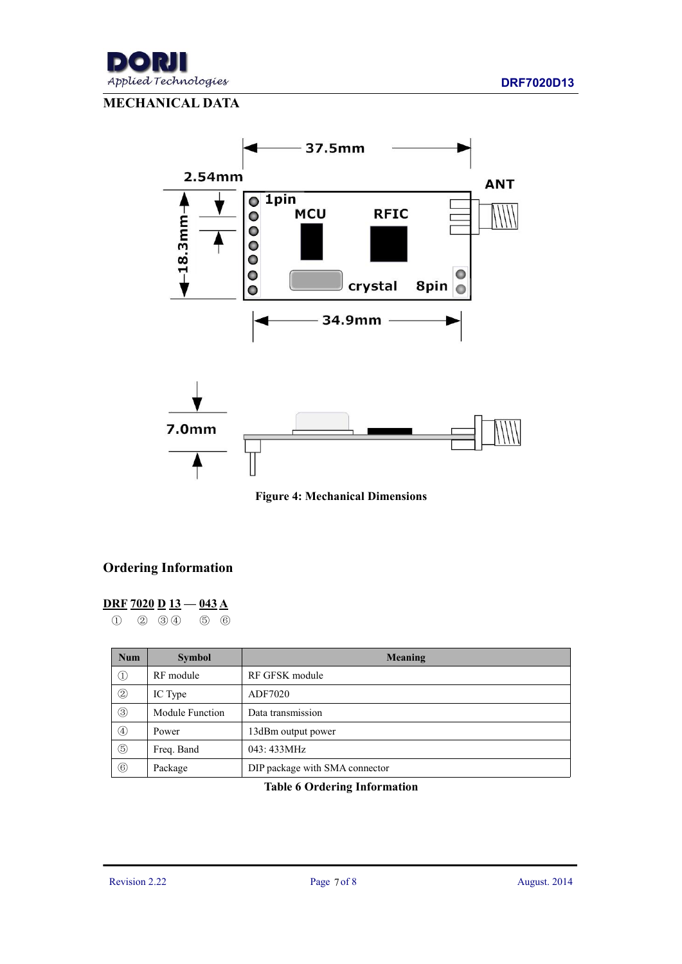

# **MECHANICAL DATA**



**Figure 4: Mechanical Dimensions**

## **Ordering Information**

### **DRF 7020 D 13 — 043 A**

① ② ③ ④ ⑤ ⑥

| <b>Num</b>     | Meaning<br><b>Symbol</b> |                                |
|----------------|--------------------------|--------------------------------|
| $\circled{1}$  | RF module                | RF GFSK module                 |
| $\circled{2}$  | IC Type                  | ADF7020                        |
| $\circled{3}$  | Module Function          | Data transmission              |
| $\circled{4}$  | Power                    | 13dBm output power             |
| $\circledS$    | Freq. Band               | 043: 433MHz                    |
| $\circledcirc$ | Package                  | DIP package with SMA connector |

**Table 6 Ordering Information**